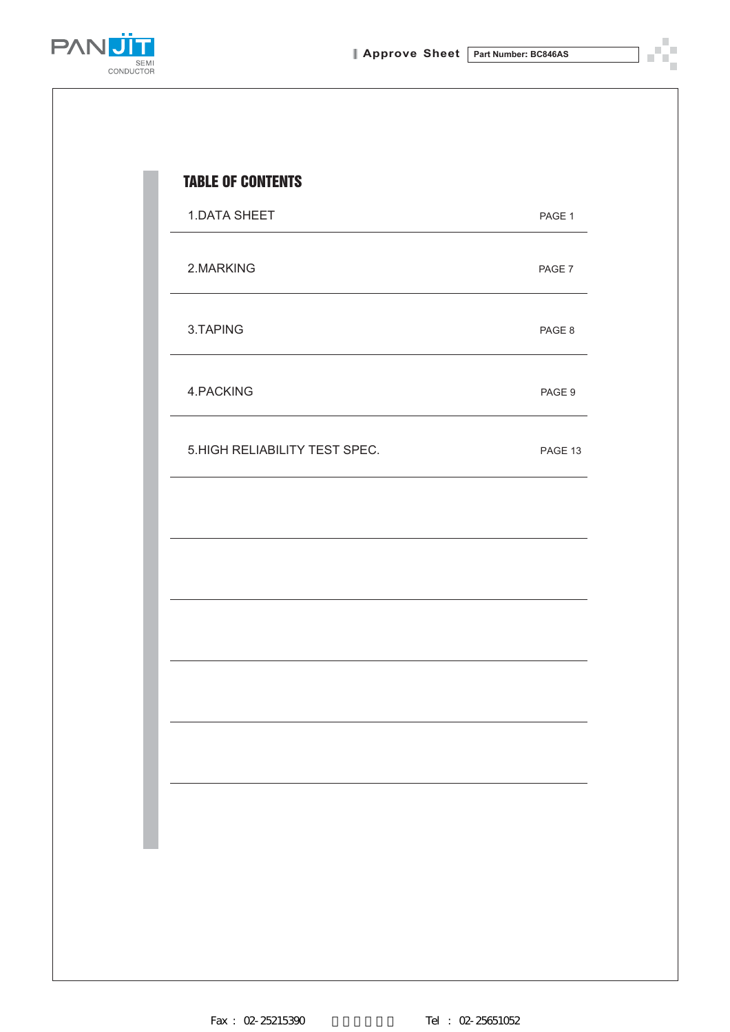Ÿ. n)



| 1.DATA SHEET                   | PAGE 1  |
|--------------------------------|---------|
| 2.MARKING                      | PAGE 7  |
| 3.TAPING                       | PAGE 8  |
| 4.PACKING                      | PAGE 9  |
| 5. HIGH RELIABILITY TEST SPEC. | PAGE 13 |
|                                |         |
|                                |         |
|                                |         |
|                                |         |
|                                |         |
|                                |         |
|                                |         |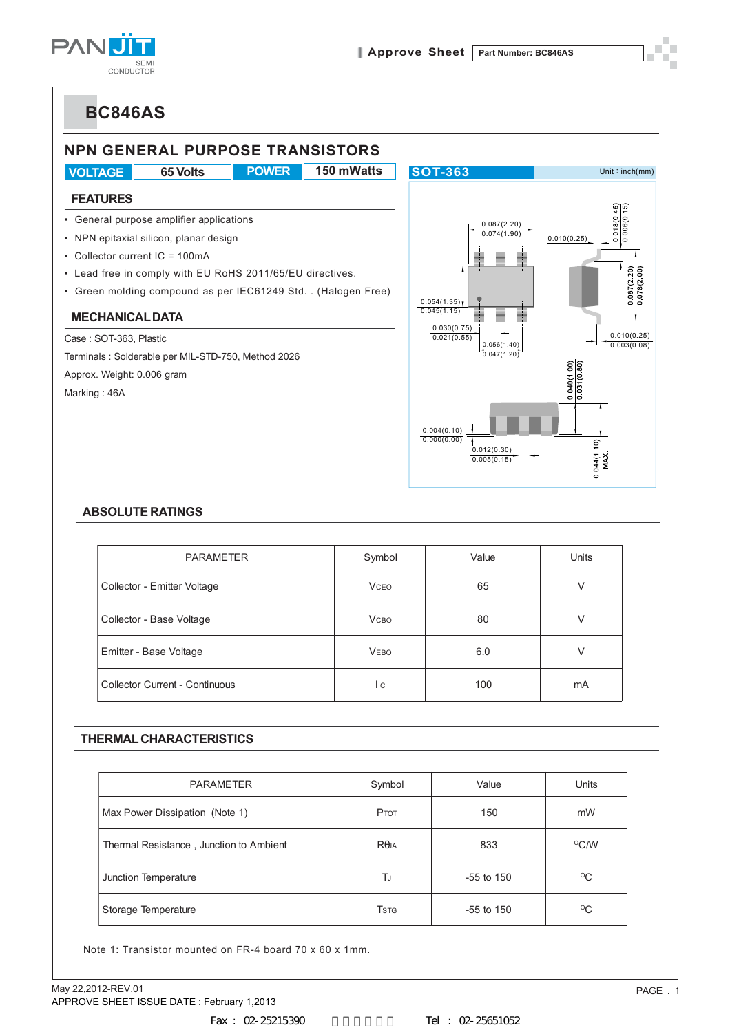



### **ABSOLUTE RATINGS**

| <b>PARAMETER</b>               | Symbol       | Value | Units |
|--------------------------------|--------------|-------|-------|
| Collector - Emitter Voltage    | <b>VCEO</b>  | 65    | V     |
| Collector - Base Voltage       | <b>V</b> сво | 80    | V     |
| Emitter - Base Voltage         | <b>VEBO</b>  | 6.0   | V     |
| Collector Current - Continuous | l c          | 100   | mA    |

### **THERMAL CHARACTERISTICS**

| <b>PARAMETER</b>                        | Symbol                   | Value        | <b>Units</b> |
|-----------------------------------------|--------------------------|--------------|--------------|
| Max Power Dissipation (Note 1)          | PTOT                     | 150          | mW           |
| Thermal Resistance, Junction to Ambient | $R\theta$ JA             | 833          | $\rm ^{O}CN$ |
| Junction Temperature                    | TJ                       | $-55$ to 150 | $^{\circ}$ C |
| Storage Temperature                     | <b>T</b> st <sub>G</sub> | $-55$ to 150 | $^{\circ}$ C |

Note 1: Transistor mounted on FR-4 board 70 x 60 x 1mm.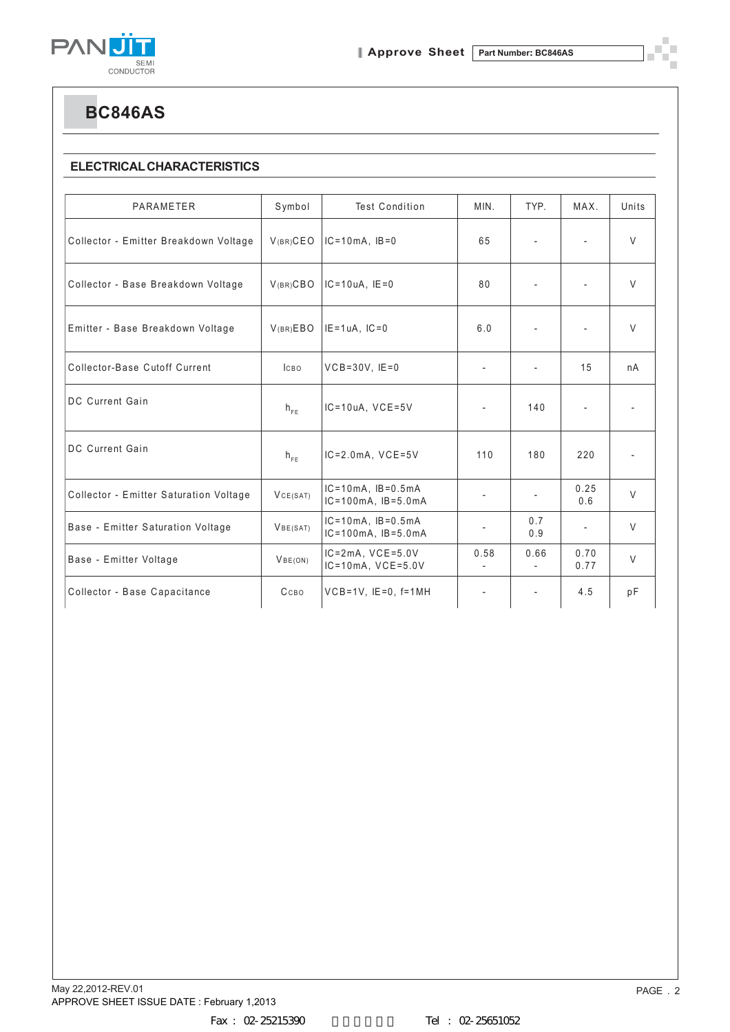

П

**BC846AS**

### **ELECTRICAL CHARACTERISTICS**

| PARAMETER                              | Symbol               | <b>Test Condition</b>                                     | MIN.                     | TYP.                     | MAX.                     | Units                    |
|----------------------------------------|----------------------|-----------------------------------------------------------|--------------------------|--------------------------|--------------------------|--------------------------|
| Collector - Emitter Breakdown Voltage  | $V(BR)$ CEO          | $IC = 10mA$ , $IB = 0$                                    | 65                       | $\overline{\phantom{a}}$ | $\overline{\phantom{a}}$ | $\vee$                   |
| Collector - Base Breakdown Voltage     | V(BR)CBO             | $IC = 10uA$ , $IE = 0$                                    | 80                       | ٠                        |                          | $\vee$                   |
| Emitter - Base Breakdown Voltage       | V(BR)EBO             | $IE = 1uA$ , $IC = 0$                                     | 6.0                      |                          |                          | $\vee$                   |
| Collector-Base Cutoff Current          | <b>ICBO</b>          | $VCB = 30V$ , $IE = 0$                                    |                          | ٠                        | 15                       | nA                       |
| DC Current Gain                        | $h_{FE}$             | $IC = 10uA$ , $VCE = 5V$                                  | $\overline{\phantom{a}}$ | 140                      |                          |                          |
| <b>DC Current Gain</b>                 | $h_{FE}$             | $IC = 2.0mA$ , $VCE = 5V$                                 | 110                      | 180                      | 220                      | $\overline{\phantom{a}}$ |
| Collector - Emitter Saturation Voltage | VCE(SAT)             | $IC = 10mA$ , $IB = 0.5mA$<br>$IC = 100mA$ , $IB = 5.0mA$ | $\overline{\phantom{a}}$ | $\overline{\phantom{a}}$ | 0.25<br>0.6              | $\vee$                   |
| Base - Emitter Saturation Voltage      | V <sub>BE(SAT)</sub> | $IC = 10mA$ , $IB = 0.5mA$<br>$IC = 100mA$ , $IB = 5.0mA$ | $\overline{\phantom{a}}$ | 0.7<br>0.9               | $\overline{\phantom{a}}$ | $\vee$                   |
| Base - Emitter Voltage                 | VBE(ON)              | $IC = 2mA$ , $VCE = 5.0V$<br>$IC = 10mA$ , $VCE = 5.0V$   | 0.58                     | 0.66                     | 0.70<br>0.77             | $\vee$                   |
| Collector - Base Capacitance           | CCBO                 | $VCB=1V$ , $IE=0$ , $f=1MH$                               |                          |                          | 4.5                      | pF                       |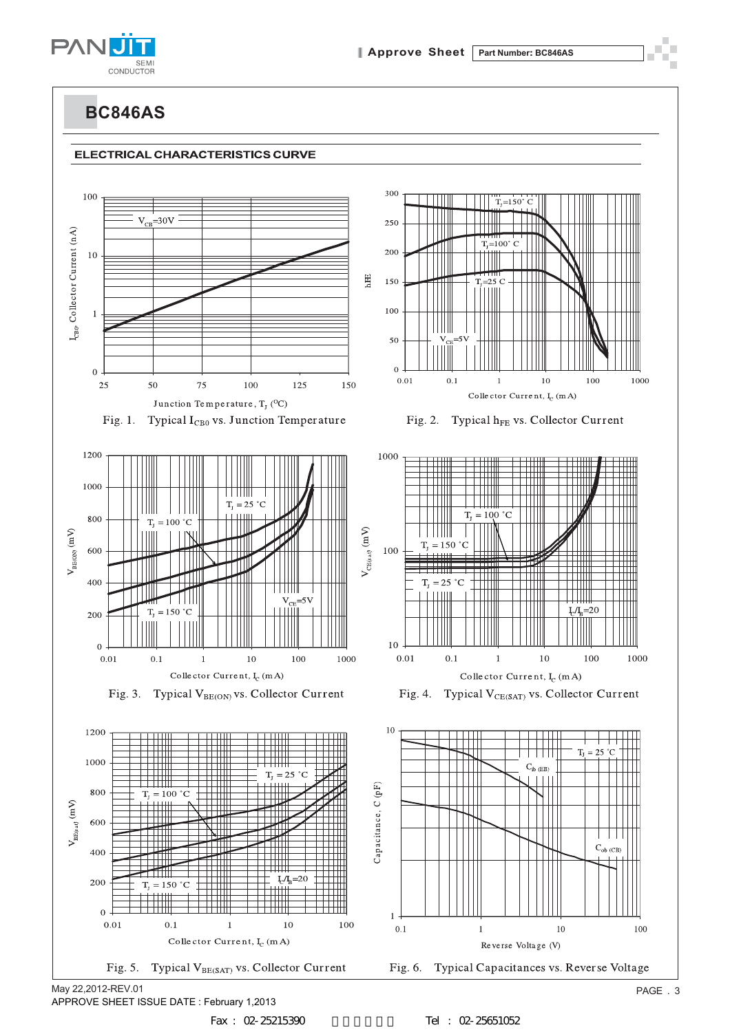







Fig. 1. Typical I<sub>CB0</sub> vs. Junction Temperature







Fig. 2. Typical h<sub>FE</sub> vs. Collector Current





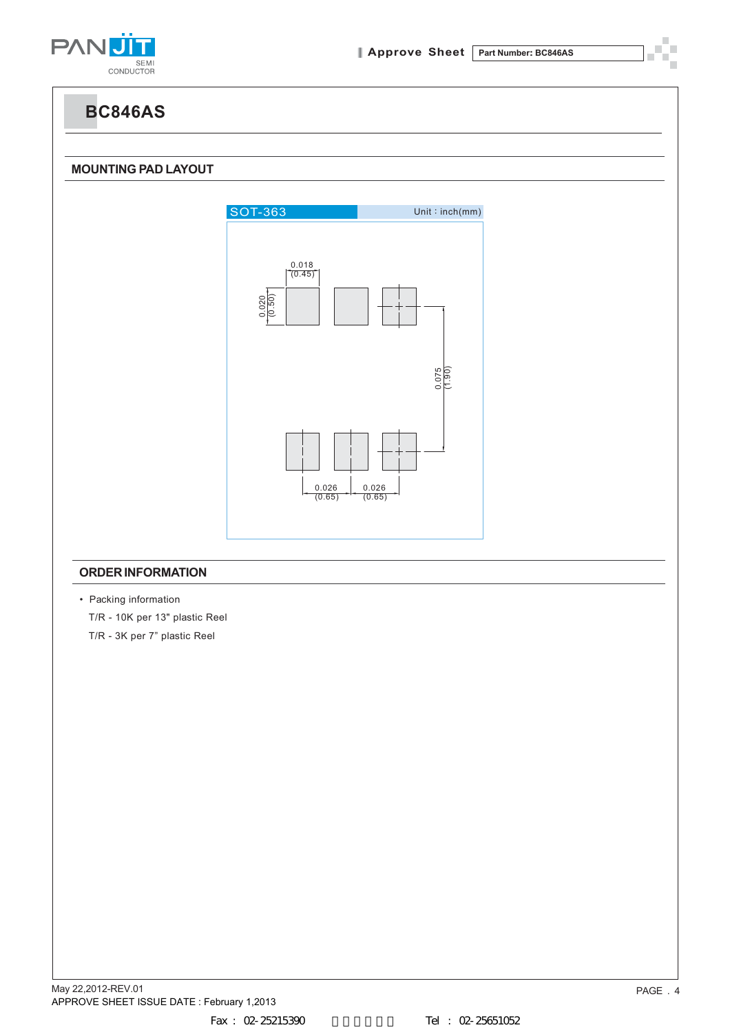

### **MOUNTING PAD LAYOUT**



### **ORDER INFORMATION**

• Packing information T/R - 10K per 13" plastic Reel T/R - 3K per 7" plastic Reel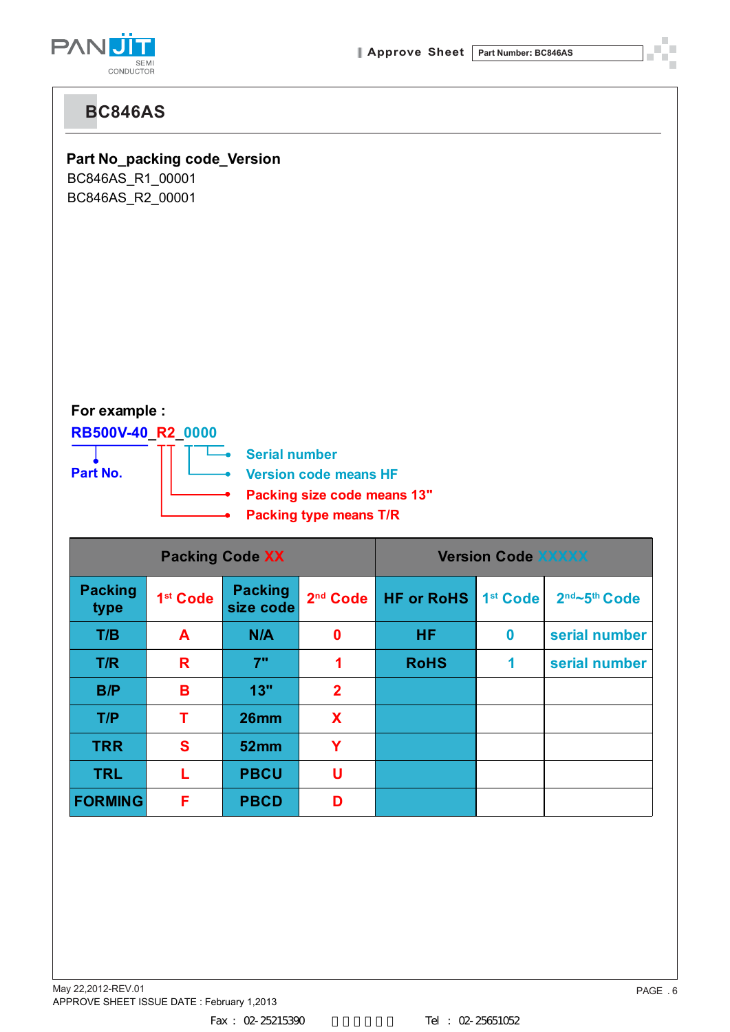

**Part No\_packing code\_Version**

BC846AS\_R1\_00001 BC846AS\_R2\_00001

## **For example :**

### **RB500V-40\_R2\_0000**

L  $\overline{\phantom{a}}$ 



**Serial number**

- **Version code means HF**
- **Packing size code means 13"**
- **Packing type means T/R**

|                        |                      | <b>Packing Code XX</b>      |                      | <b>Version Code XXXXX</b> |                      |               |
|------------------------|----------------------|-----------------------------|----------------------|---------------------------|----------------------|---------------|
| <b>Packing</b><br>type | 1 <sup>st</sup> Code | <b>Packing</b><br>size code | 2 <sup>nd</sup> Code | <b>HF or RoHS</b>         | 1 <sup>st</sup> Code | 2nd~5th Code  |
| T/B                    | A                    | N/A                         | $\bf{0}$             | <b>HF</b>                 | $\bf{0}$             | serial number |
| T/R                    | R                    | 7"                          | 1                    | <b>RoHS</b>               | 1                    | serial number |
| B/P                    | B                    | 13"                         | $\overline{2}$       |                           |                      |               |
| T/P                    | т                    | 26mm                        | X                    |                           |                      |               |
| <b>TRR</b>             | S                    | 52 <sub>mm</sub>            | Ÿ                    |                           |                      |               |
| <b>TRL</b>             |                      | <b>PBCU</b>                 | U                    |                           |                      |               |
| <b>FORMING</b>         | F                    | <b>PBCD</b>                 | D                    |                           |                      |               |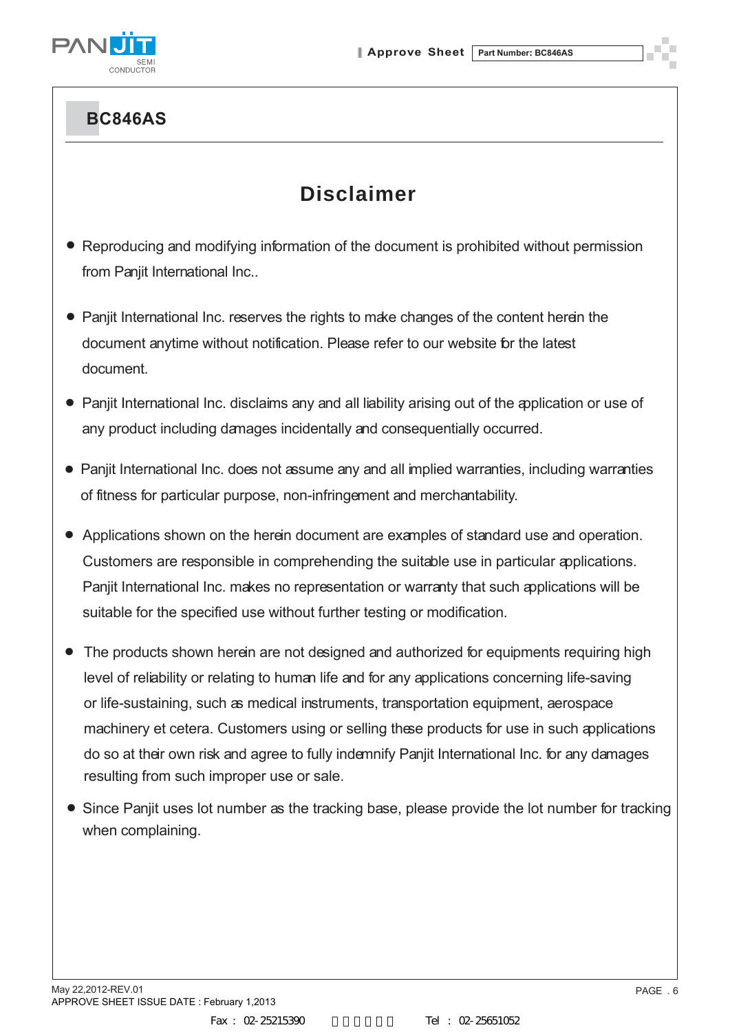

# **Disclaimer**

- Reproducing and modifying information of the document is prohibited without permission from Panjit International Inc..
- Panjit International Inc. reserves the rights to make changes of the content herein the document anytime without notification. Please refer to our website for the latest document.
- Panjit International Inc. disclaims any and all liability arising out of the application or use of any product including damages incidentally and consequentially occurred.
- Panjit International Inc. does not assume any and all implied warranties, including warranties of fitness for particular purpose, non-infringement and merchantability.
- Applications shown on the herein document are examples of standard use and operation. Customers are responsible in comprehending the suitable use in particular applications. Panjit International Inc. makes no representation or warranty that such applications will be suitable for the specified use without further testing or modification.
- The products shown herein are not designed and authorized for equipments requiring high level of reliability or relating to human life and for any applications concerning life-saving or life-sustaining, such as medical instruments, transportation equipment, aerospace machinery et cetera. Customers using or selling these products for use in such applications do so at their own risk and agree to fully indemnify Panjit International Inc. for any damages resulting from such improper use or sale.
- Since Panjit uses lot number as the tracking base, please provide the lot number for tracking when complaining.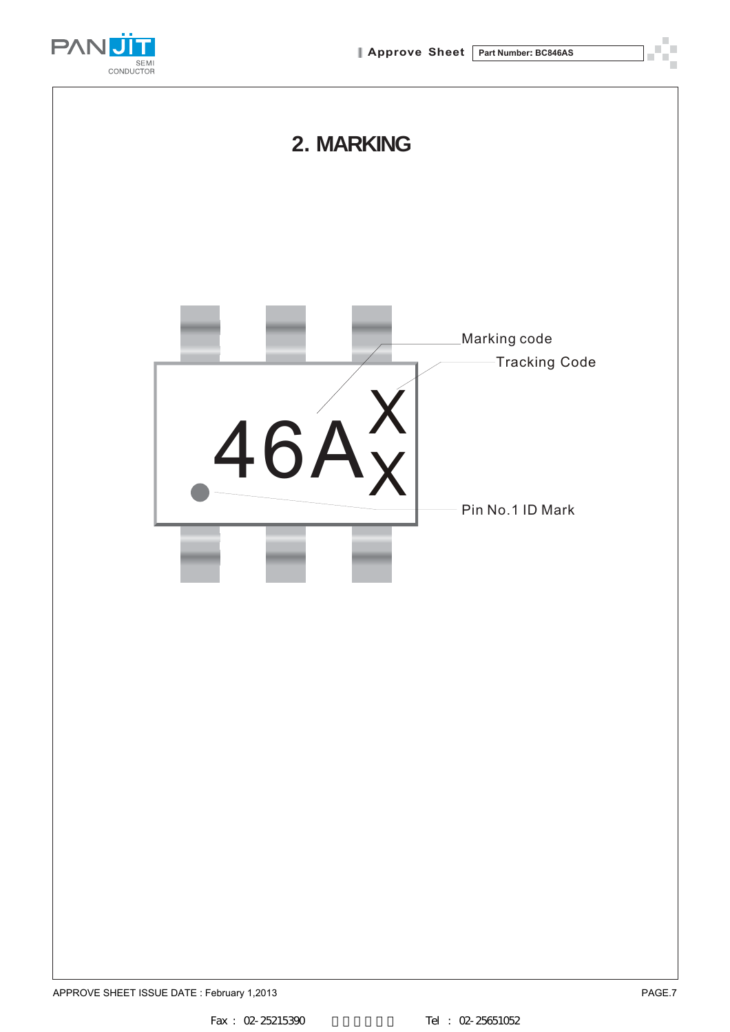

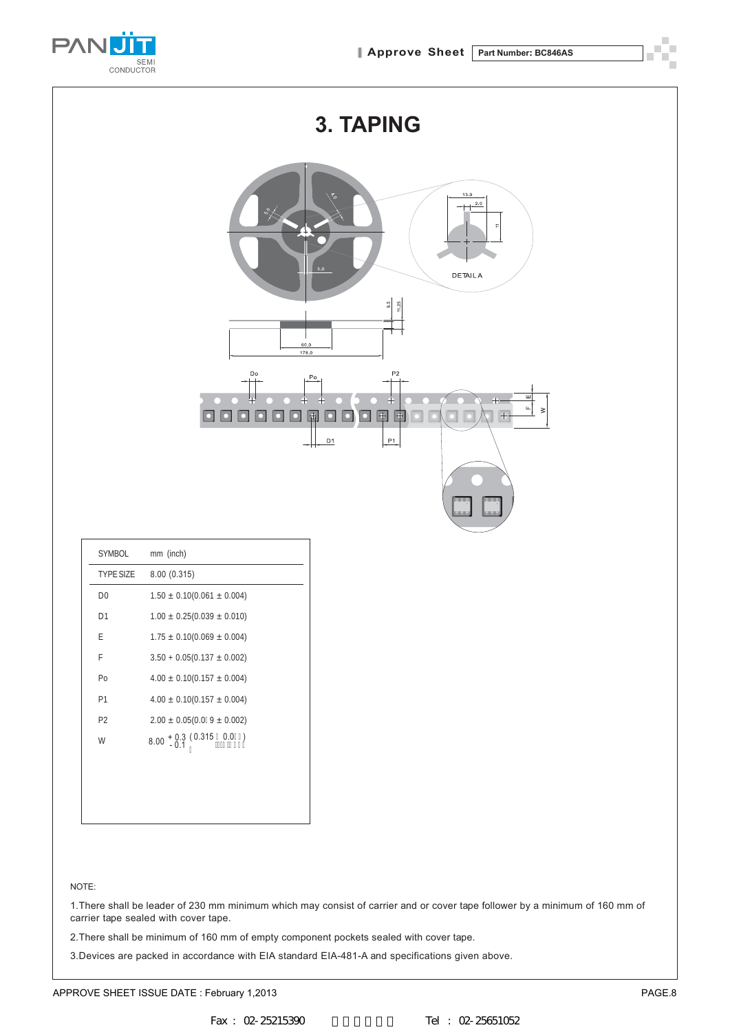![](_page_8_Picture_1.jpeg)

|                | 3. TAPING                                                                                                                                                                                                           |  |  |  |  |  |
|----------------|---------------------------------------------------------------------------------------------------------------------------------------------------------------------------------------------------------------------|--|--|--|--|--|
|                | 13.0<br>2.0<br>$\overline{\phantom{a}}$<br>3.0<br><b>DETAIL A</b><br>$\frac{1}{90}$<br>$11.25$<br>60.0<br>178.0                                                                                                     |  |  |  |  |  |
|                | P <sub>2</sub><br>Do<br>$P_0$<br>피<br>$\ddot{}$<br>$+$<br>퍽<br>$\geq$<br>$\frac{}{\left  + \right  ^{2}}$<br>$\begin{array}{ c } \hline \end{array}$<br>围<br>$\left  + \right\rangle$<br>$\bullet$<br>D<br>P1<br>D1 |  |  |  |  |  |
| SYMBOL         | mm (inch)                                                                                                                                                                                                           |  |  |  |  |  |
| TYPE SIZE      | 8.00 (0.315)                                                                                                                                                                                                        |  |  |  |  |  |
| D <sub>0</sub> | $1.50\,\pm\,0.10(0.061\,\pm\,0.004)$                                                                                                                                                                                |  |  |  |  |  |
| D1             | $1.00 \pm 0.25(0.039 \pm 0.010)$                                                                                                                                                                                    |  |  |  |  |  |
| E              | $1.75\,\pm\,0.10(0.069\,\pm\,0.004)$                                                                                                                                                                                |  |  |  |  |  |
| F              | $3.50 + 0.05(0.137 \pm 0.002)$                                                                                                                                                                                      |  |  |  |  |  |
| Po             | $4.00 \pm 0.10(0.157 \pm 0.004)$                                                                                                                                                                                    |  |  |  |  |  |
| P1             | $4.00 \pm 0.10(0.157 \pm 0.004)$                                                                                                                                                                                    |  |  |  |  |  |
| P <sub>2</sub> | $2.00 \pm 0.05(0.0 + 9 \pm 0.002)$                                                                                                                                                                                  |  |  |  |  |  |

W 8.00 + 0.3 (0.315 <u>2</u> 0.0%)<br>''\$'\$\$(

#### NOTE:

1.There shall be leader of 230 mm minimum which may consist of carrier and or cover tape follower by a minimum of 160 mm of carrier tape sealed with cover tape.

2.There shall be minimum of 160 mm of empty component pockets sealed with cover tape.

3.Devices are packed in accordance with EIA standard EIA-481-A and specifications given above.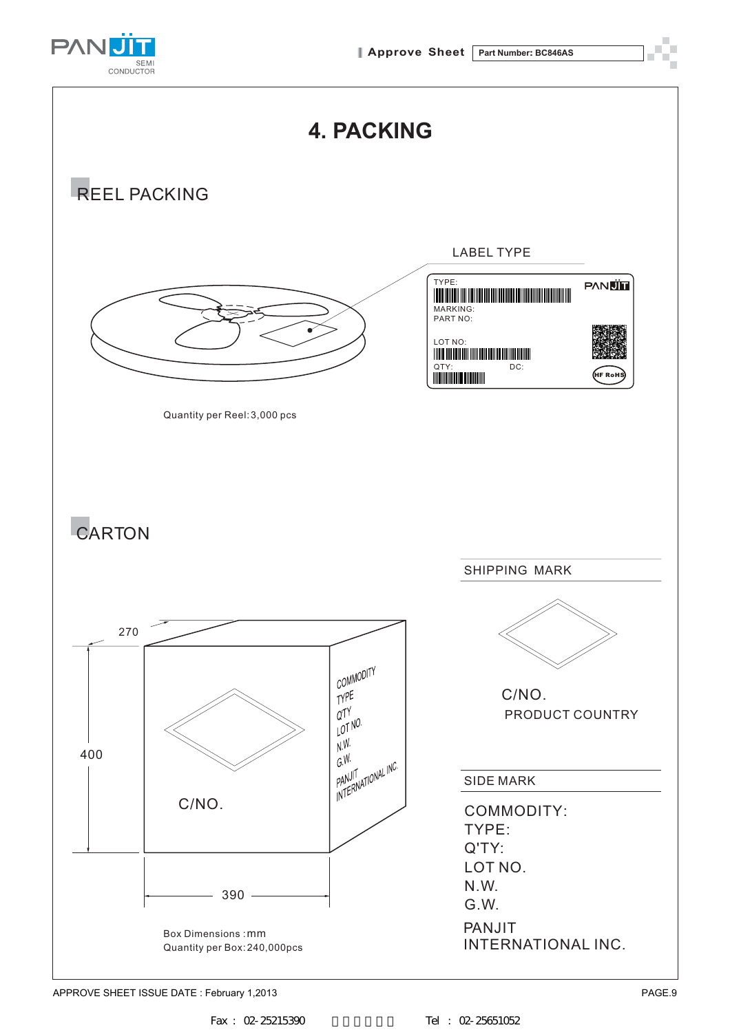![](_page_9_Picture_1.jpeg)

![](_page_9_Figure_2.jpeg)

APPROVE SHEET ISSUE DATE : February 1,2013 **PAGE.9**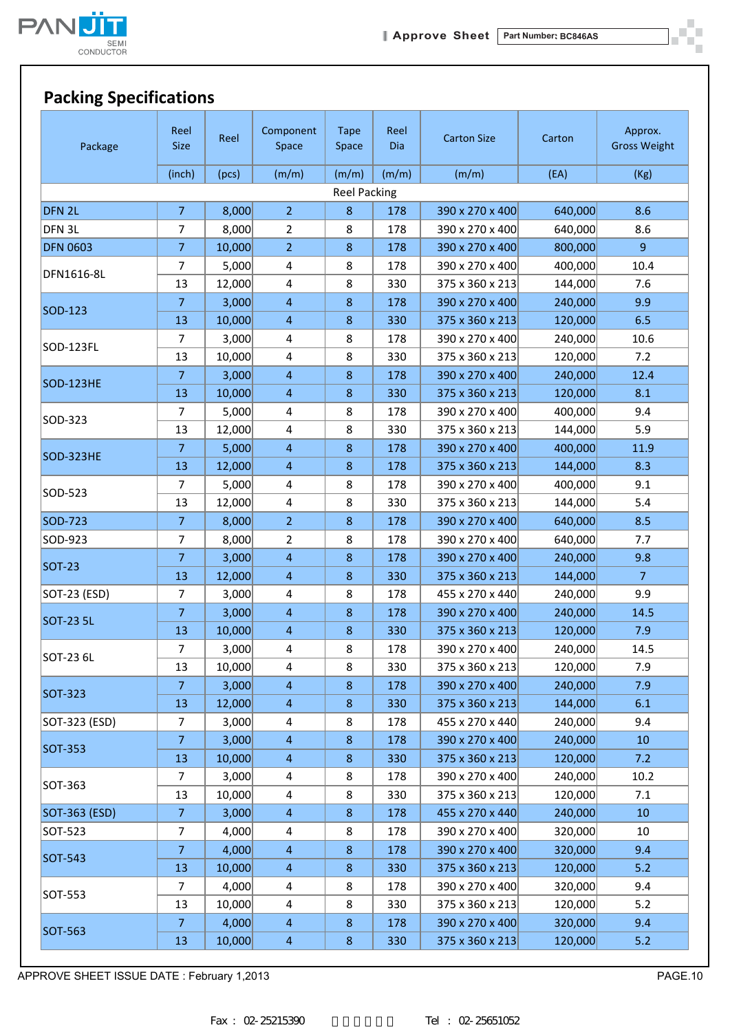![](_page_10_Picture_0.jpeg)

| Package           | Reel<br><b>Size</b> | Reel   | Component<br>Space | <b>Tape</b><br>Space | Reel<br>Dia | <b>Carton Size</b> | Carton  | Approx.<br><b>Gross Weight</b> |
|-------------------|---------------------|--------|--------------------|----------------------|-------------|--------------------|---------|--------------------------------|
|                   | (inch)              | (pcs)  | (m/m)              | (m/m)                | (m/m)       | (m/m)              | (EA)    | (Kg)                           |
|                   |                     |        |                    | <b>Reel Packing</b>  |             |                    |         |                                |
| DFN <sub>2L</sub> | $\overline{7}$      | 8,000  | $\overline{2}$     | 8                    | 178         | 390 x 270 x 400    | 640,000 | 8.6                            |
| DFN 3L            | 7                   | 8,000  | $\overline{2}$     | 8                    | 178         | 390 x 270 x 400    | 640,000 | 8.6                            |
| <b>DFN 0603</b>   | $\overline{7}$      | 10,000 | $\overline{2}$     | $\bf 8$              | 178         | 390 x 270 x 400    | 800,000 | 9                              |
| DFN1616-8L        | 7                   | 5,000  | 4                  | 8                    | 178         | 390 x 270 x 400    | 400,000 | 10.4                           |
|                   | 13                  | 12,000 | 4                  | 8                    | 330         | 375 x 360 x 213    | 144,000 | 7.6                            |
| SOD-123           | $\overline{7}$      | 3,000  | $\overline{4}$     | $\bf 8$              | 178         | 390 x 270 x 400    | 240,000 | 9.9                            |
|                   | 13                  | 10,000 | $\overline{4}$     | $\,8\,$              | 330         | 375 x 360 x 213    | 120,000 | 6.5                            |
| SOD-123FL         | 7                   | 3,000  | 4                  | 8                    | 178         | 390 x 270 x 400    | 240,000 | 10.6                           |
|                   | 13                  | 10,000 | 4                  | 8                    | 330         | 375 x 360 x 213    | 120,000 | 7.2                            |
| SOD-123HE         | $\overline{7}$      | 3,000  | $\overline{4}$     | $8\phantom{1}$       | 178         | 390 x 270 x 400    | 240,000 | 12.4                           |
|                   | 13                  | 10,000 | $\overline{4}$     | 8                    | 330         | 375 x 360 x 213    | 120,000 | 8.1                            |
| SOD-323           | $\overline{7}$      | 5,000  | 4                  | 8                    | 178         | 390 x 270 x 400    | 400,000 | 9.4                            |
|                   | 13                  | 12,000 | 4                  | 8                    | 330         | 375 x 360 x 213    | 144,000 | 5.9                            |
| SOD-323HE         | $\overline{7}$      | 5,000  | $\overline{4}$     | $\,8\,$              | 178         | 390 x 270 x 400    | 400,000 | 11.9                           |
|                   | 13                  | 12,000 | $\overline{4}$     | $\,8\,$              | 178         | 375 x 360 x 213    | 144,000 | 8.3                            |
| SOD-523           | 7                   | 5,000  | 4                  | 8                    | 178         | 390 x 270 x 400    | 400,000 | 9.1                            |
|                   | 13                  | 12,000 | 4                  | 8                    | 330         | 375 x 360 x 213    | 144,000 | 5.4                            |
| SOD-723           | $\overline{7}$      | 8,000  | $\overline{2}$     | $\,8\,$              | 178         | 390 x 270 x 400    | 640,000 | 8.5                            |
| SOD-923           | 7                   | 8,000  | $\overline{2}$     | 8                    | 178         | 390 x 270 x 400    | 640,000 | 7.7                            |
| <b>SOT-23</b>     | $\overline{7}$      | 3,000  | $\overline{4}$     | $\,8\,$              | 178         | 390 x 270 x 400    | 240,000 | 9.8                            |
|                   | 13                  | 12,000 | $\overline{4}$     | $\,8\,$              | 330         | 375 x 360 x 213    | 144,000 | $\overline{7}$                 |
| SOT-23 (ESD)      | 7                   | 3,000  | 4                  | 8                    | 178         | 455 x 270 x 440    | 240,000 | 9.9                            |
| <b>SOT-23 5L</b>  | $\overline{7}$      | 3,000  | $\overline{4}$     | $\,8\,$              | 178         | 390 x 270 x 400    | 240,000 | 14.5                           |
|                   | 13                  | 10,000 | $\overline{4}$     | $\bf 8$              | 330         | 375 x 360 x 213    | 120,000 | 7.9                            |
| SOT-23 6L         | 7                   | 3,000  | 4                  | 8                    | 178         | 390 x 270 x 400    | 240,000 | 14.5                           |
|                   | 13                  | 10,000 | 4                  | 8                    | 330         | 375 x 360 x 213    | 120,000 | 7.9                            |
| <b>SOT-323</b>    | 7                   | 3,000  | $\overline{4}$     | $\,8\,$              | 178         | 390 x 270 x 400    | 240,000 | 7.9                            |
|                   | 13                  | 12,000 | $\overline{4}$     | $\bf 8$              | 330         | 375 x 360 x 213    | 144,000 | 6.1                            |
| SOT-323 (ESD)     | $\overline{7}$      | 3,000  | 4                  | 8                    | 178         | 455 x 270 x 440    | 240,000 | 9.4                            |
| <b>SOT-353</b>    | $\overline{7}$      | 3,000  | $\overline{4}$     | $\bf 8$              | 178         | 390 x 270 x 400    | 240,000 | 10                             |
|                   | 13                  | 10,000 | $\overline{4}$     | $\bf 8$              | 330         | 375 x 360 x 213    | 120,000 | 7.2                            |
| SOT-363           | 7                   | 3,000  | 4                  | 8                    | 178         | 390 x 270 x 400    | 240,000 | 10.2                           |
|                   | 13                  | 10,000 | 4                  | 8                    | 330         | 375 x 360 x 213    | 120,000 | 7.1                            |
| SOT-363 (ESD)     | $\mathbf{7}$        | 3,000  | $\overline{4}$     | $\bf 8$              | 178         | 455 x 270 x 440    | 240,000 | 10                             |
| SOT-523           | 7                   | 4,000  | 4                  | 8                    | 178         | 390 x 270 x 400    | 320,000 | 10                             |
| SOT-543           | $\overline{7}$      | 4,000  | $\overline{4}$     | $\bf 8$              | 178         | 390 x 270 x 400    | 320,000 | 9.4                            |
|                   | 13                  | 10,000 | $\overline{4}$     | $\bf 8$              | 330         | 375 x 360 x 213    | 120,000 | 5.2                            |
| SOT-553           | 7                   | 4,000  | 4                  | 8                    | 178         | 390 x 270 x 400    | 320,000 | 9.4                            |
|                   | 13                  | 10,000 | 4                  | 8                    | 330         | 375 x 360 x 213    | 120,000 | 5.2                            |
| <b>SOT-563</b>    | 7                   | 4,000  | $\overline{4}$     | $\bf 8$              | 178         | 390 x 270 x 400    | 320,000 | 9.4                            |
|                   | 13                  | 10,000 | $\overline{4}$     | $\bf 8$              | 330         | 375 x 360 x 213    | 120,000 | 5.2                            |

APPROVE SHEET ISSUE DATE : February 1,2013 **PAGE.10** 

ò.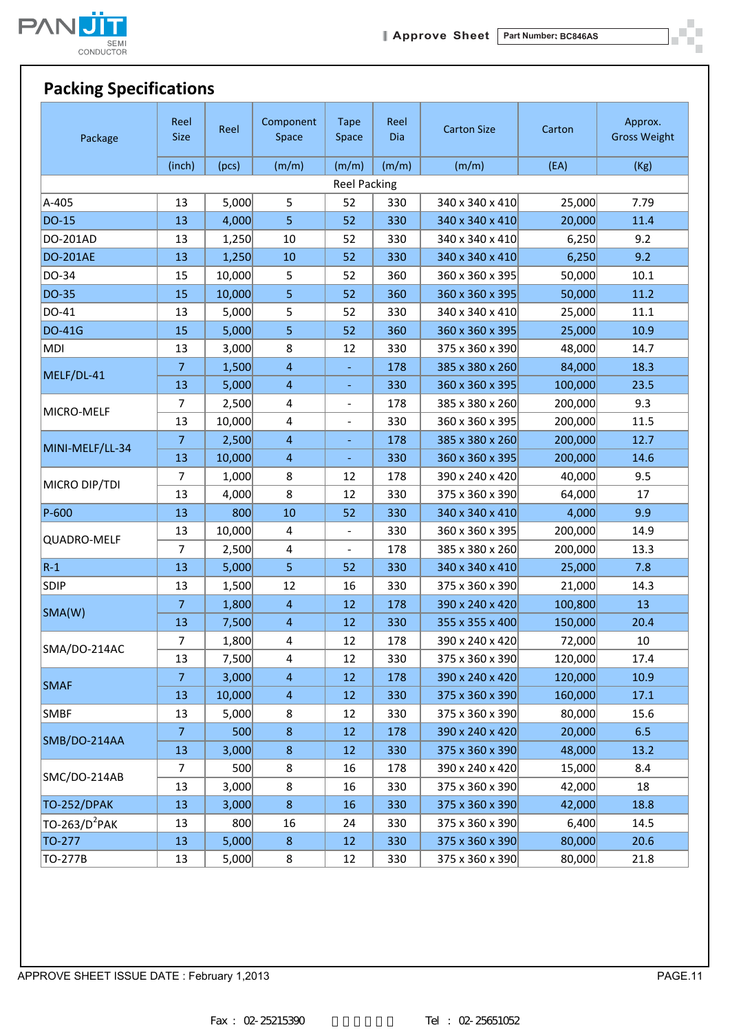![](_page_11_Picture_0.jpeg)

ð. шí

## **Packing Specifications**

| Package                   | Reel<br>Size        | Reel   | Component<br>Space      | <b>Tape</b><br>Space         | Reel<br>Dia | <b>Carton Size</b> | Carton  | Approx.<br><b>Gross Weight</b> |  |  |
|---------------------------|---------------------|--------|-------------------------|------------------------------|-------------|--------------------|---------|--------------------------------|--|--|
|                           | (inch)              | (pcs)  | (m/m)                   | (m/m)                        | (m/m)       | (m/m)              | (EA)    | (Kg)                           |  |  |
|                           | <b>Reel Packing</b> |        |                         |                              |             |                    |         |                                |  |  |
| A-405                     | 13                  | 5,000  | 5                       | 52                           | 330         | 340 x 340 x 410    | 25,000  | 7.79                           |  |  |
| <b>DO-15</b>              | 13                  | 4,000  | 5                       | 52                           | 330         | 340 x 340 x 410    | 20,000  | 11.4                           |  |  |
| DO-201AD                  | 13                  | 1,250  | $10\,$                  | 52                           | 330         | 340 x 340 x 410    | 6,250   | 9.2                            |  |  |
| <b>DO-201AE</b>           | 13                  | 1,250  | 10                      | 52                           | 330         | 340 x 340 x 410    | 6,250   | 9.2                            |  |  |
| DO-34                     | 15                  | 10,000 | 5                       | 52                           | 360         | 360 x 360 x 395    | 50,000  | $10.1\,$                       |  |  |
| <b>DO-35</b>              | 15                  | 10,000 | 5                       | 52                           | 360         | 360 x 360 x 395    | 50,000  | 11.2                           |  |  |
| DO-41                     | 13                  | 5,000  | 5                       | 52                           | 330         | 340 x 340 x 410    | 25,000  | 11.1                           |  |  |
| <b>DO-41G</b>             | 15                  | 5,000  | 5                       | 52                           | 360         | 360 x 360 x 395    | 25,000  | 10.9                           |  |  |
| <b>MDI</b>                | 13                  | 3,000  | 8                       | 12                           | 330         | 375 x 360 x 390    | 48,000  | 14.7                           |  |  |
|                           | $\overline{7}$      | 1,500  | $\overline{4}$          |                              | 178         | 385 x 380 x 260    | 84,000  | 18.3                           |  |  |
| MELF/DL-41                | 13                  | 5,000  | $\overline{4}$          | ÷,                           | 330         | 360 x 360 x 395    | 100,000 | 23.5                           |  |  |
|                           | 7                   | 2,500  | 4                       | $\qquad \qquad \blacksquare$ | 178         | 385 x 380 x 260    | 200,000 | 9.3                            |  |  |
| MICRO-MELF                | 13                  | 10,000 | 4                       | $\overline{\phantom{m}}$     | 330         | 360 x 360 x 395    | 200,000 | 11.5                           |  |  |
|                           | $\overline{7}$      | 2,500  | $\overline{4}$          |                              | 178         | 385 x 380 x 260    | 200,000 | 12.7                           |  |  |
| MINI-MELF/LL-34           | 13                  | 10,000 | $\overline{\mathbf{4}}$ | Ξ                            | 330         | 360 x 360 x 395    | 200,000 | 14.6                           |  |  |
|                           | 7                   | 1,000  | 8                       | 12                           | 178         | 390 x 240 x 420    | 40,000  | 9.5                            |  |  |
| MICRO DIP/TDI             | 13                  | 4,000  | 8                       | 12                           | 330         | 375 x 360 x 390    | 64,000  | 17                             |  |  |
| P-600                     | 13                  | 800    | 10                      | 52                           | 330         | 340 x 340 x 410    | 4,000   | 9.9                            |  |  |
|                           | 13                  | 10,000 | $\overline{4}$          | $\overline{\phantom{a}}$     | 330         | 360 x 360 x 395    | 200,000 | 14.9                           |  |  |
| QUADRO-MELF               | $\overline{7}$      | 2,500  | $\overline{4}$          |                              | 178         | 385 x 380 x 260    | 200,000 | 13.3                           |  |  |
| $R-1$                     | 13                  | 5,000  | 5                       | 52                           | 330         | 340 x 340 x 410    | 25,000  | 7.8                            |  |  |
| <b>SDIP</b>               | 13                  | 1,500  | 12                      | 16                           | 330         | 375 x 360 x 390    | 21,000  | 14.3                           |  |  |
|                           | $\overline{7}$      | 1,800  | $\overline{4}$          | 12                           | 178         | 390 x 240 x 420    | 100,800 | 13                             |  |  |
| SMA(W)                    | 13                  | 7,500  | $\overline{4}$          | 12                           | 330         | 355 x 355 x 400    | 150,000 | 20.4                           |  |  |
|                           | 7                   | 1,800  | 4                       | 12                           | 178         | 390 x 240 x 420    | 72,000  | 10                             |  |  |
| SMA/DO-214AC              | 13                  | 7,500  | $\overline{4}$          | 12                           | 330         | 375 x 360 x 390    | 120,000 | 17.4                           |  |  |
|                           | $\overline{7}$      | 3,000  | $\overline{4}$          | 12                           | 178         | 390 x 240 x 420    | 120,000 | 10.9                           |  |  |
| <b>SMAF</b>               | 13                  | 10,000 | $\overline{4}$          | 12                           | 330         | 375 x 360 x 390    | 160,000 | 17.1                           |  |  |
| <b>SMBF</b>               | 13                  | 5,000  | 8                       | 12                           | 330         | 375 x 360 x 390    | 80,000  | 15.6                           |  |  |
|                           | $\overline{7}$      | 500    | $\bf 8$                 | 12                           | 178         | 390 x 240 x 420    | 20,000  | 6.5                            |  |  |
| SMB/DO-214AA              | 13                  | 3,000  | 8                       | 12                           | 330         | 375 x 360 x 390    | 48,000  | 13.2                           |  |  |
|                           | $\overline{7}$      | 500    | 8                       | 16                           | 178         | 390 x 240 x 420    | 15,000  | 8.4                            |  |  |
| SMC/DO-214AB              | 13                  | 3,000  | 8                       | 16                           | 330         | 375 x 360 x 390    | 42,000  | 18                             |  |  |
| <b>TO-252/DPAK</b>        | 13                  | 3,000  | $\bf 8$                 | 16                           | 330         | 375 x 360 x 390    | 42,000  | 18.8                           |  |  |
| TO-263/D <sup>2</sup> PAK | 13                  | 800    | 16                      | 24                           | 330         | 375 x 360 x 390    | 6,400   | 14.5                           |  |  |
| TO-277                    | 13                  | 5,000  | 8                       | 12                           | 330         | 375 x 360 x 390    | 80,000  | 20.6                           |  |  |
| TO-277B                   | 13                  | 5,000  | 8                       | 12                           | 330         | 375 x 360 x 390    | 80,000  | 21.8                           |  |  |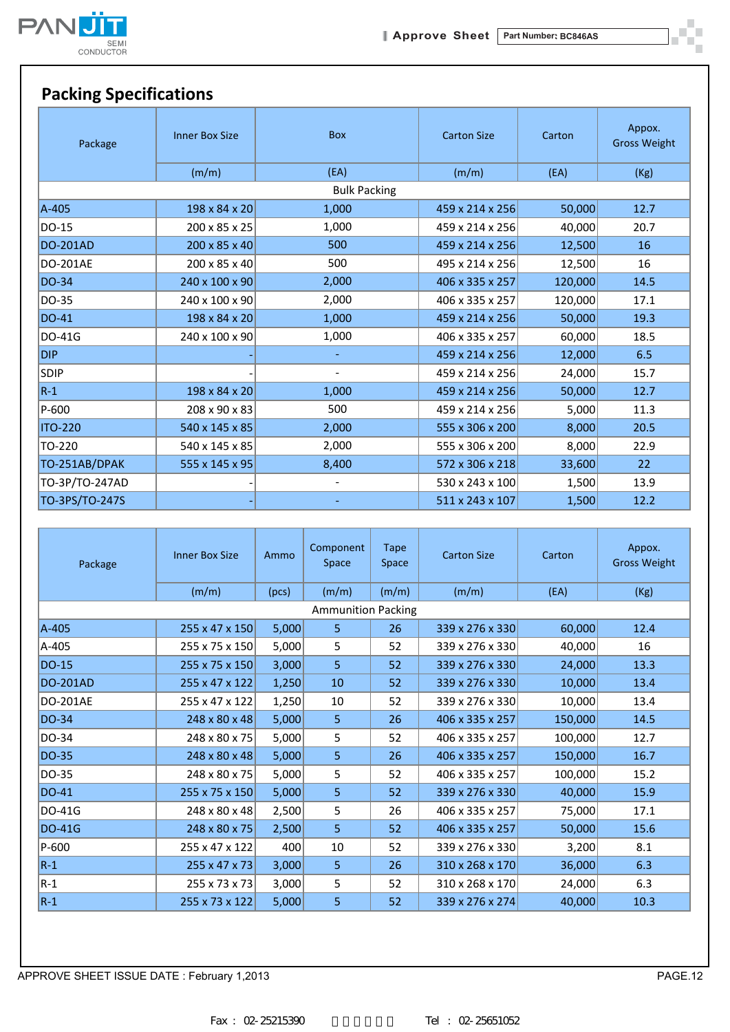![](_page_12_Picture_0.jpeg)

![](_page_12_Picture_2.jpeg)

# **Packing Specifications**

| Package         | <b>Inner Box Size</b> | <b>Box</b>               | <b>Carton Size</b> | Carton  | Appox.<br><b>Gross Weight</b> |
|-----------------|-----------------------|--------------------------|--------------------|---------|-------------------------------|
|                 | (m/m)                 | (EA)                     | (m/m)              | (EA)    | (Kg)                          |
|                 |                       | <b>Bulk Packing</b>      |                    |         |                               |
| A-405           | 198 x 84 x 20         | 1,000                    | 459 x 214 x 256    | 50,000  | 12.7                          |
| DO-15           | 200 x 85 x 25         | 1,000                    | 459 x 214 x 256    | 40,000  | 20.7                          |
| <b>DO-201AD</b> | 200 x 85 x 40         | 500                      | 459 x 214 x 256    | 12,500  | 16                            |
| <b>DO-201AE</b> | 200 x 85 x 40         | 500                      | 495 x 214 x 256    | 12,500  | 16                            |
| DO-34           | 240 x 100 x 90        | 2,000                    | 406 x 335 x 257    | 120,000 | 14.5                          |
| DO-35           | 240 x 100 x 90        | 2,000                    | 406 x 335 x 257    | 120,000 | 17.1                          |
| DO-41           | 198 x 84 x 20         | 1,000                    | 459 x 214 x 256    | 50,000  | 19.3                          |
| DO-41G          | 240 x 100 x 90        | 1,000                    | 406 x 335 x 257    | 60,000  | 18.5                          |
| <b>DIP</b>      |                       | $\blacksquare$           | 459 x 214 x 256    | 12,000  | 6.5                           |
| SDIP            |                       | $\overline{\phantom{a}}$ | 459 x 214 x 256    | 24,000  | 15.7                          |
| $R-1$           | 198 x 84 x 20         | 1,000                    | 459 x 214 x 256    | 50,000  | 12.7                          |
| P-600           | 208 x 90 x 83         | 500                      | 459 x 214 x 256    | 5,000   | 11.3                          |
| <b>ITO-220</b>  | 540 x 145 x 85        | 2,000                    | 555 x 306 x 200    | 8,000   | 20.5                          |
| TO-220          | 540 x 145 x 85        | 2,000                    | 555 x 306 x 200    | 8,000   | 22.9                          |
| TO-251AB/DPAK   | 555 x 145 x 95        | 8,400                    | 572 x 306 x 218    | 33,600  | 22                            |
| TO-3P/TO-247AD  |                       | $\overline{\phantom{a}}$ | 530 x 243 x 100    | 1,500   | 13.9                          |
| TO-3PS/TO-247S  |                       |                          | 511 x 243 x 107    | 1,500   | 12.2                          |

| Package         | <b>Inner Box Size</b> | Ammo  | Component<br><b>Space</b> | Tape<br>Space | <b>Carton Size</b> | Carton  | Appox.<br><b>Gross Weight</b> |
|-----------------|-----------------------|-------|---------------------------|---------------|--------------------|---------|-------------------------------|
|                 | (m/m)                 | (pcs) | (m/m)                     | (m/m)         | (m/m)              | (EA)    | (Kg)                          |
|                 |                       |       | <b>Ammunition Packing</b> |               |                    |         |                               |
| A-405           | 255 x 47 x 150        | 5,000 | $\overline{5}$            | 26            | 339 x 276 x 330    | 60,000  | 12.4                          |
| A-405           | 255 x 75 x 150        | 5,000 | 5                         | 52            | 339 x 276 x 330    | 40,000  | 16                            |
| <b>DO-15</b>    | 255 x 75 x 150        | 3,000 | 5                         | 52            | 339 x 276 x 330    | 24,000  | 13.3                          |
| <b>DO-201AD</b> | 255 x 47 x 122        | 1,250 | 10                        | 52            | 339 x 276 x 330    | 10,000  | 13.4                          |
| <b>DO-201AE</b> | 255 x 47 x 122        | 1,250 | 10                        | 52            | 339 x 276 x 330    | 10,000  | 13.4                          |
| <b>DO-34</b>    | 248 x 80 x 48         | 5,000 | 5                         | 26            | 406 x 335 x 257    | 150,000 | 14.5                          |
| DO-34           | 248 x 80 x 75         | 5,000 | 5                         | 52            | 406 x 335 x 257    | 100,000 | 12.7                          |
| DO-35           | 248 x 80 x 48         | 5,000 | 5                         | 26            | 406 x 335 x 257    | 150,000 | 16.7                          |
| DO-35           | 248 x 80 x 75         | 5,000 | 5                         | 52            | 406 x 335 x 257    | 100,000 | 15.2                          |
| DO-41           | 255 x 75 x 150        | 5,000 | 5                         | 52            | 339 x 276 x 330    | 40,000  | 15.9                          |
| DO-41G          | 248 x 80 x 48         | 2,500 | 5                         | 26            | 406 x 335 x 257    | 75,000  | 17.1                          |
| <b>DO-41G</b>   | 248 x 80 x 75         | 2,500 | 5                         | 52            | 406 x 335 x 257    | 50,000  | 15.6                          |
| P-600           | 255 x 47 x 122        | 400   | 10                        | 52            | 339 x 276 x 330    | 3,200   | 8.1                           |
| $R-1$           | 255 x 47 x 73         | 3,000 | 5                         | 26            | 310 x 268 x 170    | 36,000  | 6.3                           |
| $ R-1 $         | 255 x 73 x 73         | 3,000 | 5                         | 52            | 310 x 268 x 170    | 24,000  | 6.3                           |
| $R-1$           | 255 x 73 x 122        | 5,000 | 5                         | 52            | 339 x 276 x 274    | 40,000  | 10.3                          |

APPROVE SHEET ISSUE DATE : February 1,2013 **PAGE.12**